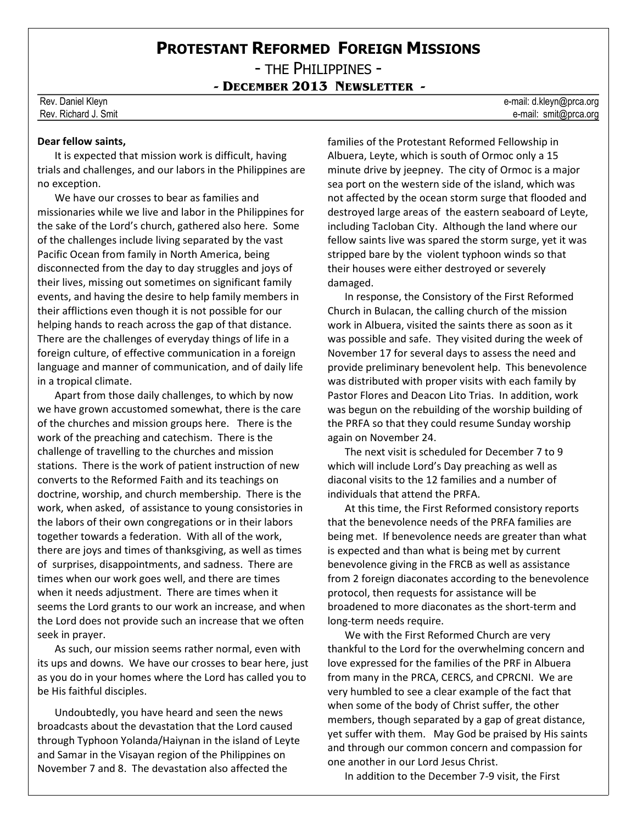## **PROTESTANT REFORMED FOREIGN MISSIONS**

- THE PHILIPPINES -

**- DECEMBER 2013 NEWSLETTER -**

## **Dear fellow saints,**

It is expected that mission work is difficult, having trials and challenges, and our labors in the Philippines are no exception.

We have our crosses to bear as families and missionaries while we live and labor in the Philippines for the sake of the Lord's church, gathered also here. Some of the challenges include living separated by the vast Pacific Ocean from family in North America, being disconnected from the day to day struggles and joys of their lives, missing out sometimes on significant family events, and having the desire to help family members in their afflictions even though it is not possible for our helping hands to reach across the gap of that distance. There are the challenges of everyday things of life in a foreign culture, of effective communication in a foreign language and manner of communication, and of daily life in a tropical climate.

Apart from those daily challenges, to which by now we have grown accustomed somewhat, there is the care of the churches and mission groups here. There is the work of the preaching and catechism. There is the challenge of travelling to the churches and mission stations. There is the work of patient instruction of new converts to the Reformed Faith and its teachings on doctrine, worship, and church membership. There is the work, when asked, of assistance to young consistories in the labors of their own congregations or in their labors together towards a federation. With all of the work, there are joys and times of thanksgiving, as well as times of surprises, disappointments, and sadness. There are times when our work goes well, and there are times when it needs adjustment. There are times when it seems the Lord grants to our work an increase, and when the Lord does not provide such an increase that we often seek in prayer.

As such, our mission seems rather normal, even with its ups and downs. We have our crosses to bear here, just as you do in your homes where the Lord has called you to be His faithful disciples.

Undoubtedly, you have heard and seen the news broadcasts about the devastation that the Lord caused through Typhoon Yolanda/Haiynan in the island of Leyte and Samar in the Visayan region of the Philippines on November 7 and 8. The devastation also affected the

families of the Protestant Reformed Fellowship in Albuera, Leyte, which is south of Ormoc only a 15 minute drive by jeepney. The city of Ormoc is a major sea port on the western side of the island, which was not affected by the ocean storm surge that flooded and destroyed large areas of the eastern seaboard of Leyte, including Tacloban City. Although the land where our fellow saints live was spared the storm surge, yet it was stripped bare by the violent typhoon winds so that their houses were either destroyed or severely damaged.

In response, the Consistory of the First Reformed Church in Bulacan, the calling church of the mission work in Albuera, visited the saints there as soon as it was possible and safe. They visited during the week of November 17 for several days to assess the need and provide preliminary benevolent help. This benevolence was distributed with proper visits with each family by Pastor Flores and Deacon Lito Trias. In addition, work was begun on the rebuilding of the worship building of the PRFA so that they could resume Sunday worship again on November 24.

The next visit is scheduled for December 7 to 9 which will include Lord's Day preaching as well as diaconal visits to the 12 families and a number of individuals that attend the PRFA.

At this time, the First Reformed consistory reports that the benevolence needs of the PRFA families are being met. If benevolence needs are greater than what is expected and than what is being met by current benevolence giving in the FRCB as well as assistance from 2 foreign diaconates according to the benevolence protocol, then requests for assistance will be broadened to more diaconates as the short-term and long-term needs require.

We with the First Reformed Church are very thankful to the Lord for the overwhelming concern and love expressed for the families of the PRF in Albuera from many in the PRCA, CERCS, and CPRCNI. We are very humbled to see a clear example of the fact that when some of the body of Christ suffer, the other members, though separated by a gap of great distance, yet suffer with them. May God be praised by His saints and through our common concern and compassion for one another in our Lord Jesus Christ.

In addition to the December 7-9 visit, the First